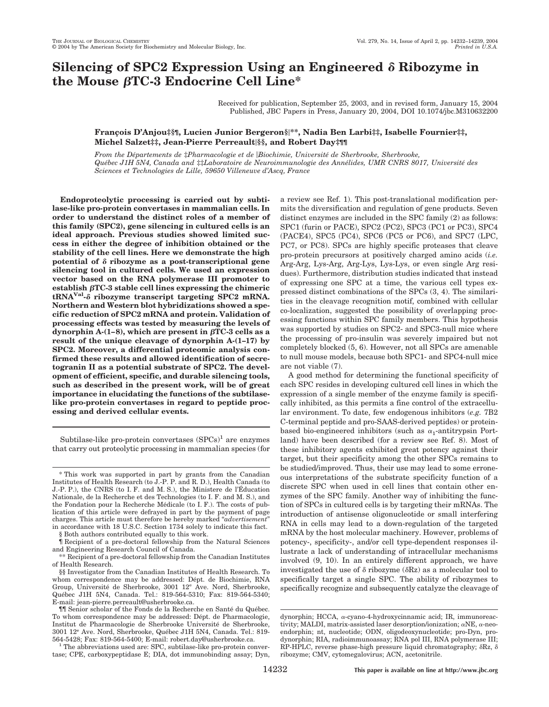# **Silencing of SPC2 Expression Using an Engineered Ribozyme in the Mouse βTC-3 Endocrine Cell Line\***

Received for publication, September 25, 2003, and in revised form, January 15, 2004 Published, JBC Papers in Press, January 20, 2004, DOI 10.1074/jbc.M310632200

# **Franc¸ois D'Anjou‡§¶, Lucien Junior Bergeron§\*\*, Nadia Ben Larbi‡‡, Isabelle Fournier‡‡, Michel Salzet‡‡, Jean-Pierre Perreault§§, and Robert Day‡¶¶**

*From the De´partements de* ‡*Pharmacologie et de Biochimie, Universite´ de Sherbrooke, Sherbrooke, Que´bec J1H 5N4, Canada and* ‡‡*Laboratoire de Neuroimmunologie des Anne´lides, UMR CNRS 8017, Universite´ des Sciences et Technologies de Lille, 59650 Villeneuve d'Ascq, France*

**Endoproteolytic processing is carried out by subtilase-like pro-protein convertases in mammalian cells. In order to understand the distinct roles of a member of this family (SPC2), gene silencing in cultured cells is an ideal approach. Previous studies showed limited success in either the degree of inhibition obtained or the stability of the cell lines. Here we demonstrate the high potential of ribozyme as a post-transcriptional gene silencing tool in cultured cells. We used an expression vector based on the RNA polymerase III promoter to**  $\epsilon$  establish  $\beta$ TC-3 stable cell lines expressing the chimeric **tRNAVal- ribozyme transcript targeting SPC2 mRNA. Northern and Western blot hybridizations showed a specific reduction of SPC2 mRNA and protein. Validation of processing effects was tested by measuring the levels of**  $d$ ynorphin A-(1–8), which are present in  $\beta$ TC-3 cells as a **result of the unique cleavage of dynorphin A-(1–17) by SPC2. Moreover, a differential proteomic analysis confirmed these results and allowed identification of secretogranin II as a potential substrate of SPC2. The development of efficient, specific, and durable silencing tools, such as described in the present work, will be of great importance in elucidating the functions of the subtilaselike pro-protein convertases in regard to peptide processing and derived cellular events.**

Subtilase-like pro-protein convertases  $(SPCs)^1$  are enzymes that carry out proteolytic processing in mammalian species (for

§ Both authors contributed equally to this work.

¶ Recipient of a pre-doctoral fellowship from the Natural Sciences and Engineering Research Council of Canada.

\*\* Recipient of a pre-doctoral fellowship from the Canadian Institutes of Health Research.

§§ Investigator from the Canadian Institutes of Health Research. To whom correspondence may be addressed: Dépt. de Biochimie, RNA Group, Université de Sherbrooke, 3001 12<sup>e</sup> Ave. Nord, Sherbrooke, Québec J1H 5N4, Canada. Tel.: 819-564-5310; Fax: 819-564-5340; E-mail: jean-pierre.perreault@usherbrooke.ca.

 $1$ <sup>1</sup> The abbreviations used are: SPC, subtilase-like pro-protein convertase; CPE, carboxypeptidase E; DIA, dot immunobinding assay; Dyn, a review see Ref. 1). This post-translational modification permits the diversification and regulation of gene products. Seven distinct enzymes are included in the SPC family (2) as follows: SPC1 (furin or PACE), SPC2 (PC2), SPC3 (PC1 or PC3), SPC4 (PACE4), SPC5 (PC4), SPC6 (PC5 or PC6), and SPC7 (LPC, PC7, or PC8). SPCs are highly specific proteases that cleave pro-protein precursors at positively charged amino acids (*i.e.* Arg-Arg, Lys-Arg, Arg-Lys, Lys-Lys, or even single Arg residues). Furthermore, distribution studies indicated that instead of expressing one SPC at a time, the various cell types expressed distinct combinations of the SPCs (3, 4). The similarities in the cleavage recognition motif, combined with cellular co-localization, suggested the possibility of overlapping processing functions within SPC family members. This hypothesis was supported by studies on SPC2- and SPC3-null mice where the processing of pro-insulin was severely impaired but not completely blocked (5, 6). However, not all SPCs are amenable to null mouse models, because both SPC1- and SPC4-null mice are not viable (7).

A good method for determining the functional specificity of each SPC resides in developing cultured cell lines in which the expression of a single member of the enzyme family is specifically inhibited, as this permits a fine control of the extracellular environment. To date, few endogenous inhibitors (*e.g.* 7B2 C-terminal peptide and pro-SAAS-derived peptides) or proteinbased bio-engineered inhibitors (such as  $\alpha_1$ -antitrypsin Portland) have been described (for a review see Ref. 8). Most of these inhibitory agents exhibited great potency against their target, but their specificity among the other SPCs remains to be studied/improved. Thus, their use may lead to some erroneous interpretations of the substrate specificity function of a discrete SPC when used in cell lines that contain other enzymes of the SPC family. Another way of inhibiting the function of SPCs in cultured cells is by targeting their mRNAs. The introduction of antisense oligonucleotide or small interfering RNA in cells may lead to a down-regulation of the targeted mRNA by the host molecular machinery. However, problems of potency-, specificity-, and/or cell type-dependent responses illustrate a lack of understanding of intracellular mechanisms involved (9, 10). In an entirely different approach, we have investigated the use of  $\delta$  ribozyme ( $\delta$ Rz) as a molecular tool to specifically target a single SPC. The ability of ribozymes to specifically recognize and subsequently catalyze the cleavage of

<sup>\*</sup> This work was supported in part by grants from the Canadian Institutes of Health Research (to J.-P. P. and R. D.), Health Canada (to J.-P. P.), the CNRS (to I. F. and M. S.), the Ministere de l'Éducation Nationale, de la Recherche et des Technologies (to I. F. and M. S.), and the Fondation pour la Recherche Médicale (to I. F.). The costs of publication of this article were defrayed in part by the payment of page charges. This article must therefore be hereby marked "*advertisement*" in accordance with 18 U.S.C. Section 1734 solely to indicate this fact.

 $\P$ || Senior scholar of the Fonds de la Recherche en Santé du Québec. To whom correspondence may be addressed: Dépt. de Pharmacologie, Institut de Pharmacologie de Sherbrooke Universite´ de Sherbrooke, 3001 12<sup>e</sup> Ave. Nord, Sherbrooke, Québec J1H 5N4, Canada. Tel.: 819-<br>564-5428; Fax: 819-564-5400; E-mail: robert.day@usherbrooke.ca.

dynorphin; HCCA, α-cyano-4-hydroxycinnamic acid; IR, immunoreactivity; MALDI, matrix-assisted laser desorption/ionization;  $\alpha$ NE,  $\alpha$ -neoendorphin; nt, nucleotide; ODN, oligodeoxynucleotide; pro-Dyn, prodynorphin; RIA, radioimmunoassay; RNA pol III, RNA polymerase III;  $RP\text{-}HPLC$ , reverse phase-high pressure liquid chromatography;  $\delta Rz$ ,  $\delta$ ribozyme; CMV, cytomegalovirus; ACN, acetonitrile.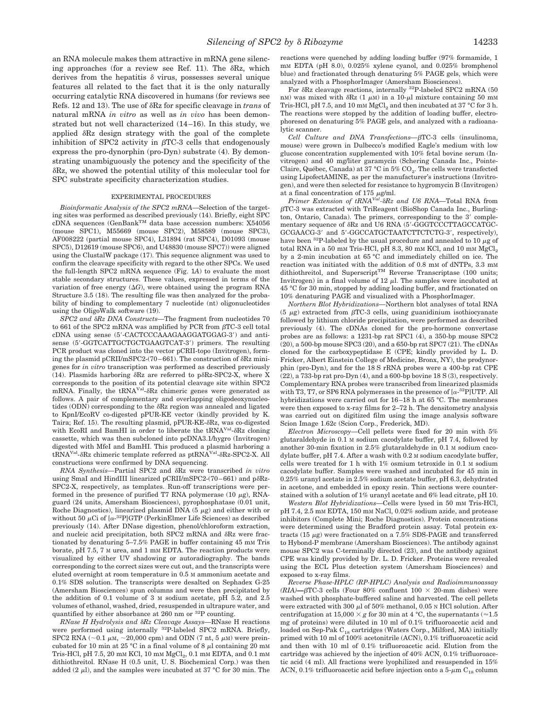an RNA molecule makes them attractive in mRNA gene silencing approaches (for a review see Ref. 11). The  $\delta$ Rz, which derives from the hepatitis  $\delta$  virus, possesses several unique features all related to the fact that it is the only naturally occurring catalytic RNA discovered in humans (for reviews see Refs. 12 and 13). The use of  $\delta$ Rz for specific cleavage in *trans* of natural mRNA *in vitro* as well as *in vivo* has been demonstrated but not well characterized (14–16). In this study, we applied  $\delta$ Rz design strategy with the goal of the complete inhibition of SPC2 activity in  $\beta$ TC-3 cells that endogenously express the pro-dynorphin (pro-Dyn) substrate (4). By demonstrating unambiguously the potency and the specificity of the -Rz, we showed the potential utility of this molecular tool for SPC substrate specificity characterization studies.

#### EXPERIMENTAL PROCEDURES

*Bioinformatic Analysis of the SPC2 mRNA—*Selection of the targeting sites was performed as described previously (14). Briefly, eight SPC cDNA sequences (GenBankTM data base accession numbers: X54056 (mouse SPC1), M55669 (mouse SPC2), M58589 (mouse SPC3), AF008222 (partial mouse SPC4), L31894 (rat SPC4), D01093 (mouse SPC5), D12619 (mouse SPC6), and U48830 (mouse SPC7)) were aligned using the ClustalW package (17). This sequence alignment was used to confirm the cleavage specificity with regard to the other SPCs. We used the full-length SPC2 mRNA sequence (Fig. 1*A*) to evaluate the most stable secondary structures. These values, expressed in terms of the variation of free energy  $(\Delta G)$ , were obtained using the program RNA Structure 3.5 (18). The resulting file was then analyzed for the probability of binding to complementary 7 nucleotide (nt) oligonucleotides using the OligoWalk software (19).

 $SPC2$  and  $\delta$ Rz DNA Constructs—The fragment from nucleotides 70 to 661 of the SPC2 mRNA was amplified by PCR from  $\beta$ TC-3 cell total cDNA using sense (5'-CACTCCCAAAGAAGGATGGAG-3') and antisense (5'-GGTCATTGCTGCTGAAGTCAT-3') primers. The resulting PCR product was cloned into the vector pCRII-topo (Invitrogen), forming the plasmid pCRII/mSPC2-(70–661). The construction of  $\delta$ Rz minigenes for *in vitro* transcription was performed as described previously (14). Plasmids harboring  $\delta$ Rz are referred to p $\delta$ Rz-SPC2-X, where X corresponds to the position of its potential cleavage site within SPC2 mRNA. Finally, the tRNA<sup>Val</sup>- $\delta$ Rz chimeric genes were generated as follows. A pair of complementary and overlapping oligodeoxynucleotides (ODN) corresponding to the  $\delta$ Rz region was annealed and ligated to KpnI/EcoRV co-digested pPUR-KE vector (kindly provided by K. Taira; Ref. 15). The resulting plasmid,  $pPUR-KE- $\delta$ Rz, was co-digested$ with EcoRI and BamHI in order to liberate the tRNA<sup>Val</sup>- $\delta$ Rz cloning cassette, which was then subcloned into pcDNA3.1/hygro (Invitrogen) digested with MfeI and BamHI. This produced a plasmid harboring a  $tRNA<sup>Val</sup>$ - $\delta$ Rz chimeric template referred as ptRNA<sup>Val</sup>- $\delta$ Rz-SPC2-X. All constructions were confirmed by DNA sequencing.

*RNA Synthesis*—Partial SPC2 and δRz were transcribed *in vitro* using SmaI and HindIII linearized  $pCRII/mSPC2-(70-661)$  and  $p\delta Rz-$ SPC2-X, respectively, as templates. Run-off transcriptions were performed in the presence of purified T7 RNA polymerase (10  $\mu$ g), RNAguard (24 units, Amersham Biosciences), pyrophosphatase (0.01 unit, Roche Diagnostics), linearized plasmid DNA  $(5 \mu g)$  and either with or without 50  $\mu$ Ci of [ $\alpha$ -<sup>32</sup>P]GTP (PerkinElmer Life Sciences) as described previously (14). After DNase digestion, phenol/chloroform extraction, and nucleic acid precipitation, both SPC2 mRNA and  $\delta$ Rz were fractionated by denaturing 5–7.5% PAGE in buffer containing 45 mM Tris borate, pH 7.5, 7 M urea, and 1 mM EDTA. The reaction products were visualized by either UV shadowing or autoradiography. The bands corresponding to the correct sizes were cut out, and the transcripts were eluted overnight at room temperature in 0.5 M ammonium acetate and 0.1% SDS solution. The transcripts were desalted on Sephadex G-25 (Amersham Biosciences) spun columns and were then precipitated by the addition of 0.1 volume of 3 M sodium acetate, pH 5.2, and 2.5 volumes of ethanol, washed, dried, resuspended in ultrapure water, and quantified by either absorbance at  $260$  nm or  $^{32}P$  counting.

*RNase H Hydrolysis and* -*Rz Cleavage Assays—*RNase H reactions were performed using internally <sup>32</sup>P-labeled SPC2 mRNA. Briefly, SPC2 RNA ( $\sim$ 0.1  $\mu$ M,  $\sim$ 20,000 cpm) and ODN (7 nt, 5  $\mu$ M) were preincubated for 10 min at 25 °C in a final volume of 8  $\mu$ l containing 20 mM Tris-HCl, pH 7.5, 20 mm KCl, 10 mm  $MgCl<sub>2</sub>$ , 0.1 mm EDTA, and 0.1 mm dithiothreitol. RNase H (0.5 unit, U. S. Biochemical Corp.) was then added (2  $\mu$ l), and the samples were incubated at 37 °C for 30 min. The reactions were quenched by adding loading buffer (97% formamide, 1 mM EDTA (pH 8.0), 0.025% xylene cyanol, and 0.025% bromphenol blue) and fractionated through denaturing 5% PAGE gels, which were analyzed with a PhosphorImager (Amersham Biosciences).

For  $\delta$ Rz cleavage reactions, internally <sup>32</sup>P-labeled SPC2 mRNA (50 nM) was mixed with  $\delta$ Rz (1  $\mu$ M) in a 10- $\mu$ l mixture containing 50 mM Tris-HCl, pH 7.5, and 10 mm  $MgCl<sub>2</sub>$  and then incubated at 37 °C for 3 h. The reactions were stopped by the addition of loading buffer, electrophoresed on denaturing 5% PAGE gels, and analyzed with a radioanalytic scanner.

*Cell Culture and DNA Transfections*- $\beta$ TC-3 cells (insulinoma, mouse) were grown in Dulbecco's modified Eagle's medium with low glucose concentration supplemented with 10% fetal bovine serum (Invitrogen) and 40 mg/liter garamycin (Schering Canada Inc., Pointe-Claire, Québec, Canada) at 37 °C in 5% CO<sub>2</sub>. The cells were transfected using LipofectAMINE, as per the manufacturer's instructions (Invitrogen), and were then selected for resistance to hygromycin B (Invitrogen) at a final concentration of 175  $\mu$ g/ml.<br>*Primer Extension of tRNA*<sup>Val</sup>-8Rz and U6 RNA—Total RNA from

 $\beta$ TC-3 was extracted with TriReagent (BioShop Canada Inc., Burlington, Ontario, Canada). The primers, corresponding to the 3' complementary sequence of  $\delta$ Rz and U6 RNA (5'-GGGTCCCTTAGCCATGC-GCGAACG-3' and 5'-GGCCATGCTAATCTTCTCTG-3', respectively), have been <sup>32</sup>P-labeled by the usual procedure and annealed to 10  $\mu$ g of total RNA in a 50 mm Tris-HCl, pH 8.3, 80 mm KCl, and 10 mm  $MgCl<sub>2</sub>$ by a 2-min incubation at 65 °C and immediately chilled on ice. The reaction was initiated with the addition of 0.8 mm of dNTPs, 3.3 mm dithiothreitol, and Superscript<sup>TM</sup> Reverse Transcriptase (100 units; Invitrogen) in a final volume of  $12 \mu l$ . The samples were incubated at 45 °C for 30 min, stopped by adding loading buffer, and fractionated on 10% denaturing PAGE and visualized with a PhosphorImager.

*Northern Blot Hybridizations—*Northern blot analyses of total RNA  $(5 \mu g)$  extracted from  $\beta$ TC-3 cells, using guanidinium isothiocyanate followed by lithium chloride precipitation, were performed as described previously (4). The cDNAs cloned for the pro-hormone convertase probes are as follows: a 1231-bp rat SPC1 (4), a 350-bp mouse SPC2  $(20)$ , a 500-bp mouse SPC3  $(20)$ , and a 650-bp rat SPC7  $(21)$ . The cDNAs cloned for the carboxypeptidase E (CPE; kindly provided by L. D. Fricker, Albert Einstein College of Medicine, Bronx, NY), the prodynorphin (pro-Dyn), and for the 18 S rRNA probes were a 400-bp rat CPE (22), a 733-bp rat pro-Dyn (4), and a 600-bp bovine 18 S (3), respectively. Complementary RNA probes were transcribed from linearized plasmids with T3, T7, or SP6 RNA polymerases in the presence of  $[\alpha^{-32}P]$ UTP. All hybridizations were carried out for 16–18 h at 65 °C. The membranes were then exposed to x-ray films for 2–72 h. The densitometry analysis was carried out on digitized film using the image analysis software Scion Image 1.62c (Scion Corp., Frederick, MD).

*Electron Microscopy—*Cell pellets were fixed for 20 min with 5% glutaraldehyde in 0.1 M sodium cacodylate buffer, pH 7.4, followed by another 30-min fixation in 2.5% glutaraldehyde in 0.1 M sodium cacodylate buffer, pH 7.4. After a wash with 0.2 M sodium cacodylate buffer, cells were treated for 1 h with 1% osmium tetroxide in 0.1 M sodium cacodylate buffer. Samples were washed and incubated for 45 min in 0.25% uranyl acetate in 2.5% sodium acetate buffer, pH 6.3, dehydrated in acetone, and embedded in epoxy resin. Thin sections were counterstained with a solution of 1% uranyl acetate and 6% lead citrate, pH 10.

*Western Blot Hybridizations—*Cells were lysed in 50 mM Tris-HCl, pH 7.4, 2.5 mM EDTA, 150 mM NaCl, 0.02% sodium azide, and protease inhibitors (Complete Mini; Roche Diagnostics). Protein concentrations were determined using the Bradford protein assay. Total protein extracts (15  $\mu$ g) were fractionated on a 7.5% SDS-PAGE and transferred to Hybond-P membrane (Amersham Biosciences). The antibody against mouse SPC2 was C-terminally directed (23), and the antibody against CPE was kindly provided by Dr. L. D. Fricker. Proteins were revealed using the ECL Plus detection system (Amersham Biosciences) and exposed to x-ray films.

*Reverse Phase-HPLC (RP-HPLC) Analysis and Radioimmunoassay*  $(RIA)$ — $BTC-3$  cells (Four 80% confluent 100  $\times$  20-mm dishes) were washed with phosphate-buffered saline and harvested. The cell pellets were extracted with 300  $\mu$ l of 50% methanol, 0.05 N HCl solution. After centrifugation at 15,000  $\times$  g for 30 min at 4 °C, the supernatants ( $\approx$ 1.5) mg of proteins) were diluted in 10 ml of 0.1% trifluoroacetic acid and loaded on Sep-Pak $\mathrm{C}_{18}$  cartridges (Waters Corp., Milford, MA) initially primed with 10 ml of 100% acetonitrile (ACN), 0.1% trifluoroacetic acid and then with 10 ml of 0.1% trifluoroacetic acid. Elution from the cartridge was achieved by the injection of 40% ACN, 0.1% trifluoroacetic acid (4 ml). All fractions were lyophilized and resuspended in 15% ACN, 0.1% trifluoroacetic acid before injection onto a  $5-\mu m$  C<sub>18</sub> column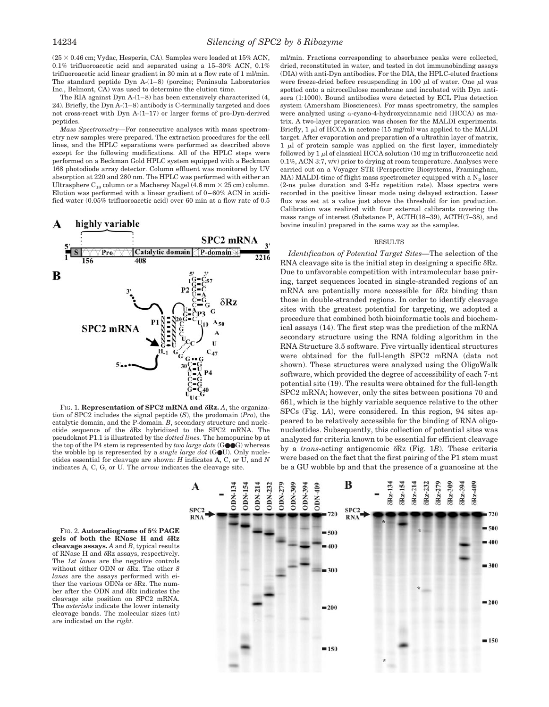$(25 \times 0.46$  cm; Vydac, Hesperia, CA). Samples were loaded at  $15\%$  ACN, 0.1% trifluoroacetic acid and separated using a 15–30% ACN, 0.1% trifluoroacetic acid linear gradient in 30 min at a flow rate of 1 ml/min. The standard peptide Dyn A-(1–8) (porcine; Peninsula Laboratories Inc., Belmont, CA) was used to determine the elution time.

The RIA against Dyn A-(1–8) has been extensively characterized (4, 24). Briefly, the Dyn A-(1–8) antibody is C-terminally targeted and does not cross-react with Dyn A-(1–17) or larger forms of pro-Dyn-derived peptides.

*Mass Spectrometry—*For consecutive analyses with mass spectrometry new samples were prepared. The extraction procedures for the cell lines, and the HPLC separations were performed as described above except for the following modifications. All of the HPLC steps were performed on a Beckman Gold HPLC system equipped with a Beckman 168 photodiode array detector. Column effluent was monitored by UV absorption at 220 and 280 nm. The HPLC was performed with either an Ultrasphere  $C_{18}$  column or a Macherey Nagel (4.6 mm  $\times$  25 cm) column. Elution was performed with a linear gradient of 0–60% ACN in acidified water (0.05% trifluoroacetic acid) over 60 min at a flow rate of 0.5



FIG. 1. Representation of SPC2 mRNA and  $\delta$ Rz. A, the organization of SPC2 includes the signal peptide (*S*), the prodomain (*Pro*), the catalytic domain, and the P-domain. *B*, secondary structure and nucleotide sequence of the  $\delta$ Rz hybridized to the SPC2 mRNA. The pseudoknot P1.1 is illustrated by the *dotted lines.* The homopurine bp at the top of the P4 stem is represented by *two large dots* (G●●G) whereas the wobble bp is represented by a *single large dot* (G●U). Only nucleotides essential for cleavage are shown: *H* indicates A, C, or U, and *N* indicates A, C, G, or U. The *arrow* indicates the cleavage site.

ml/min. Fractions corresponding to absorbance peaks were collected, dried, reconstituted in water, and tested in dot immunobinding assays (DIA) with anti-Dyn antibodies. For the DIA, the HPLC-eluted fractions were freeze-dried before resuspending in 100  $\mu$ l of water. One  $\mu$ l was spotted onto a nitrocellulose membrane and incubated with Dyn antisera (1:1000). Bound antibodies were detected by ECL Plus detection system (Amersham Biosciences). For mass spectrometry, the samples were analyzed using  $\alpha$ -cyano-4-hydroxycinnamic acid (HCCA) as matrix. A two-layer preparation was chosen for the MALDI experiments. Briefly,  $1 \mu$ l of HCCA in acetone (15 mg/ml) was applied to the MALDI target. After evaporation and preparation of a ultrathin layer of matrix,  $1 \mu$ l of protein sample was applied on the first layer, immediately followed by  $1 \mu$ l of classical HCCA solution (10 mg in trifluoroacetic acid 0.1%, ACN 3:7, v/v) prior to drying at room temperature. Analyses were carried out on a Voyager STR (Perspective Biosystems, Framingham, MA) MALDI-time of flight mass spectrometer equipped with a  $N_2$  laser (2-ns pulse duration and 3-Hz repetition rate). Mass spectra were recorded in the positive linear mode using delayed extraction. Laser flux was set at a value just above the threshold for ion production. Calibration was realized with four external calibrants covering the mass range of interest (Substance P, ACTH(18–39), ACTH(7–38), and bovine insulin) prepared in the same way as the samples.

#### RESULTS

*Identification of Potential Target Sites—*The selection of the RNA cleavage site is the initial step in designing a specific  $\delta$ Rz. Due to unfavorable competition with intramolecular base pairing, target sequences located in single-stranded regions of an mRNA are potentially more accessible for  $\delta$ Rz binding than those in double-stranded regions. In order to identify cleavage sites with the greatest potential for targeting, we adopted a procedure that combined both bioinformatic tools and biochemical assays (14). The first step was the prediction of the mRNA secondary structure using the RNA folding algorithm in the RNA Structure 3.5 software. Five virtually identical structures were obtained for the full-length SPC2 mRNA (data not shown). These structures were analyzed using the OligoWalk software, which provided the degree of accessibility of each 7-nt potential site (19). The results were obtained for the full-length SPC2 mRNA; however, only the sites between positions 70 and 661, which is the highly variable sequence relative to the other SPCs (Fig. 1*A*), were considered. In this region, 94 sites appeared to be relatively accessible for the binding of RNA oligonucleotides. Subsequently, this collection of potential sites was analyzed for criteria known to be essential for efficient cleavage by a *trans*-acting antigenomic δRz (Fig. 1*B*). These criteria were based on the fact that the first pairing of the P1 stem must be a GU wobble bp and that the presence of a guanosine at the

FIG. 2. **Autoradiograms of 5% PAGE gels** of both the RNase H and δRz **cleavage assays.** *A* and *B*, typical results of RNase H and  $\delta$ Rz assays, respectively. The *1st lanes* are the negative controls without either ODN or  $\delta$ Rz. The other *8 lanes* are the assays performed with either the various ODNs or  $\delta$ Rz. The number after the ODN and  $\delta$ Rz indicates the cleavage site position on SPC2 mRNA. The *asterisks* indicate the lower intensity cleavage bands. The molecular sizes (nt) are indicated on the *right*.

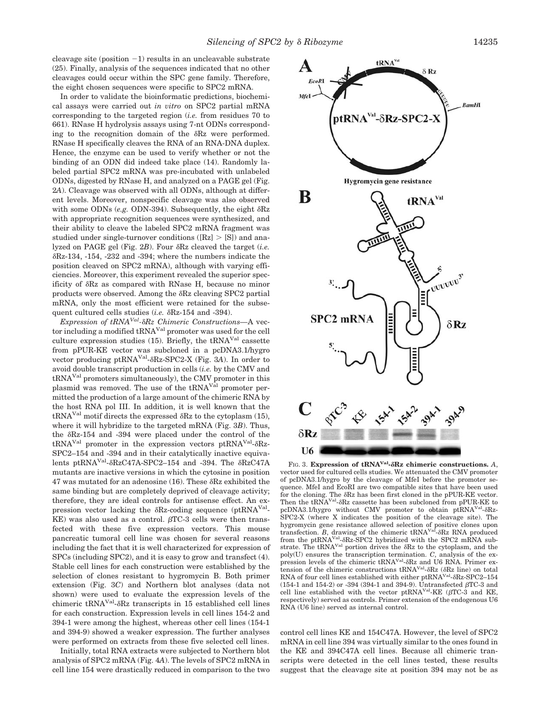cleavage site (position  $-1$ ) results in an uncleavable substrate (25). Finally, analysis of the sequences indicated that no other cleavages could occur within the SPC gene family. Therefore, the eight chosen sequences were specific to SPC2 mRNA.

In order to validate the bioinformatic predictions, biochemical assays were carried out *in vitro* on SPC2 partial mRNA corresponding to the targeted region (*i.e.* from residues 70 to 661). RNase H hydrolysis assays using 7-nt ODNs corresponding to the recognition domain of the  $\delta$ Rz were performed. RNase H specifically cleaves the RNA of an RNA-DNA duplex. Hence, the enzyme can be used to verify whether or not the binding of an ODN did indeed take place (14). Randomly labeled partial SPC2 mRNA was pre-incubated with unlabeled ODNs, digested by RNase H, and analyzed on a PAGE gel (Fig. 2*A*). Cleavage was observed with all ODNs, although at different levels. Moreover, nonspecific cleavage was also observed with some ODNs (e.g. ODN-394). Subsequently, the eight  $\delta$ Rz with appropriate recognition sequences were synthesized, and their ability to cleave the labeled SPC2 mRNA fragment was studied under single-turnover conditions ( $[Rz] > [S]$ ) and analyzed on PAGE gel (Fig.  $2B$ ). Four  $\delta$ Rz cleaved the target (*i.e.*  $\delta$ Rz-134, -154, -232 and -394; where the numbers indicate the position cleaved on SPC2 mRNA), although with varying efficiencies. Moreover, this experiment revealed the superior specificity of  $\delta$ Rz as compared with RNase H, because no minor products were observed. Among the  $\delta$ Rz cleaving SPC2 partial mRNA, only the most efficient were retained for the subsequent cultured cells studies  $(i.e.$   $\delta$ Rz-154 and -394).

*Expression of tRNAVal-*-*Rz Chimeric Constructions—*A vector including a modified tRNAVal promoter was used for the cell culture expression studies (15). Briefly, the  $tRNA<sup>Val</sup>$  cassette from pPUR-KE vector was subcloned in a pcDNA3.1/hygro vector producing ptRNA<sup>Val</sup>- $\delta$ Rz-SPC2-X (Fig. 3A). In order to avoid double transcript production in cells (*i.e.* by the CMV and tRNAVal promoters simultaneously), the CMV promoter in this plasmid was removed. The use of the tRNA<sup>Val</sup> promoter permitted the production of a large amount of the chimeric RNA by the host RNA pol III. In addition, it is well known that the  $\text{tRNA}^{\text{Val}}$  motif directs the expressed  $\delta$ Rz to the cytoplasm (15), where it will hybridize to the targeted mRNA (Fig. 3*B*). Thus, the  $\delta$ Rz-154 and -394 were placed under the control of the  $\text{tRNA}^{\text{Val}}$  promoter in the expression vectors ptRNA<sup>Val</sup>- $\delta$ Rz-SPC2–154 and -394 and in their catalytically inactive equivalents ptRNA<sup>Val</sup>- $\delta$ RzC47A-SPC2–154 and -394. The  $\delta$ RzC47A mutants are inactive versions in which the cytosine in position  $47$  was mutated for an adenosine (16). These  $\delta$ Rz exhibited the same binding but are completely deprived of cleavage activity; therefore, they are ideal controls for antisense effect. An expression vector lacking the  $\delta$ Rz-coding sequence (ptRNA<sup>Val</sup>- $KE$ ) was also used as a control.  $\beta TC-3$  cells were then transfected with these five expression vectors. This mouse pancreatic tumoral cell line was chosen for several reasons including the fact that it is well characterized for expression of SPCs (including SPC2), and it is easy to grow and transfect (4). Stable cell lines for each construction were established by the selection of clones resistant to hygromycin B. Both primer extension (Fig. 3*C*) and Northern blot analyses (data not shown) were used to evaluate the expression levels of the chimeric tRNA<sup>Val</sup>- $\delta$ Rz transcripts in 15 established cell lines for each construction. Expression levels in cell lines 154-2 and 394-1 were among the highest, whereas other cell lines (154-1 and 394-9) showed a weaker expression. The further analyses were performed on extracts from these five selected cell lines.

Initially, total RNA extracts were subjected to Northern blot analysis of SPC2 mRNA (Fig. 4*A*). The levels of SPC2 mRNA in cell line 154 were drastically reduced in comparison to the two



FIG. 3. **Expression of tRNAVal-Rz chimeric constructions.** *A*, vector used for cultured cells studies. We attenuated the CMV promoter of pcDNA3.1/hygro by the cleavage of MfeI before the promoter sequence. MfeI and EcoRI are two compatible sites that have been used for the cloning. The  $\delta$ Rz has been first cloned in the pPUR-KE vector. Then the tRNA<sup>Val</sup>- $\delta$ Rz cassette has been subcloned from pPUR-KE to pcDNA3.1/hygro without CMV promoter to obtain ptRNA<sup>Val</sup>- $\delta$ Rz-SPC2-X (where X indicates the position of the cleavage site). The hygromycin gene resistance allowed selection of positive clones upon<br>transfection. *B*, drawing of the chimeric tRNA<sup>Val</sup>-8Rz RNA produced from the ptRNA<sup>Val</sup>- $\delta$ Rz-SPC2 hybridized with the SPC2 mRNA substrate. The tRNA<sup>Val</sup> portion drives the  $\delta$ Rz to the cytoplasm, and the poly(U) ensures the transcription termination. *C*, analysis of the expression levels of the chimeric tRNA<sup>Val</sup>- $\delta$ Rz and U6 RNA. Primer extension of the chimeric constructions  $tRNA<sup>Val</sup>-\delta Rz$  ( $\delta Rz$  line) on total RNA of four cell lines established with either ptRNA<sup>Val</sup>- $\delta$ Rz-SPC2-154 (154-1 and 154-2) or -394 (394-1 and 394-9). Untransfected  $\beta$ TC-3 and cell line established with the vector  $pt\normalsize{RNA<sup>Val</sup>KE (BTC-3 and KE)}$ respectively) served as controls. Primer extension of the endogenous U6 RNA (U6 line) served as internal control.

control cell lines KE and 154C47A. However, the level of SPC2 mRNA in cell line 394 was virtually similar to the ones found in the KE and 394C47A cell lines. Because all chimeric transcripts were detected in the cell lines tested, these results suggest that the cleavage site at position 394 may not be as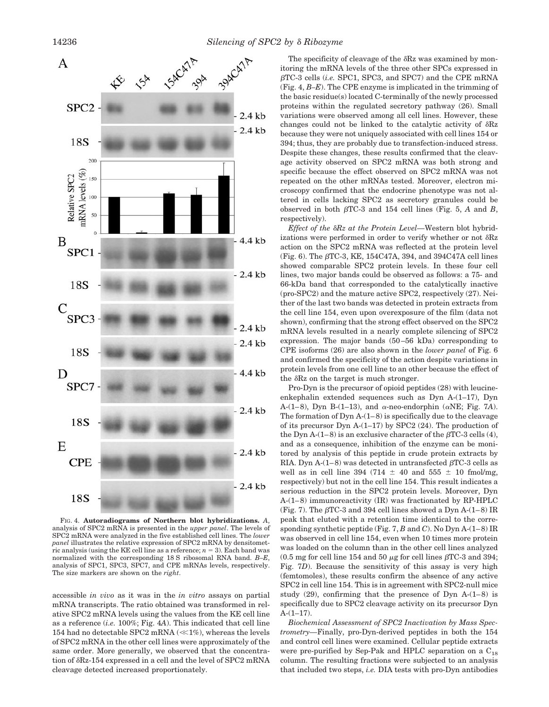

FIG. 4. **Autoradiograms of Northern blot hybridizations.** *A*, analysis of SPC2 mRNA is presented in the *upper panel*. The levels of SPC2 mRNA were analyzed in the five established cell lines. The *lower panel* illustrates the relative expression of SPC2 mRNA by densitometric analysis (using the KE cell line as a reference;  $n = 3$ ). Each band was normalized with the corresponding 18 S ribosomal RNA band. *B–E*, analysis of SPC1, SPC3, SPC7, and CPE mRNAs levels, respectively. The size markers are shown on the *right*.

accessible *in vivo* as it was in the *in vitro* assays on partial mRNA transcripts. The ratio obtained was transformed in relative SPC2 mRNA levels using the values from the KE cell line as a reference (*i.e.* 100%; Fig. 4*A*). This indicated that cell line 154 had no detectable SPC2 mRNA  $(\ll 1\%)$ , whereas the levels of SPC2 mRNA in the other cell lines were approximately of the same order. More generally, we observed that the concentration of  $\delta$ Rz-154 expressed in a cell and the level of SPC2 mRNA cleavage detected increased proportionately.

The specificity of cleavage of the  $\delta$ Rz was examined by monitoring the mRNA levels of the three other SPCs expressed in  $\beta$ TC-3 cells (*i.e.* SPC1, SPC3, and SPC7) and the CPE mRNA (Fig. 4, *B–E*). The CPE enzyme is implicated in the trimming of the basic residue(s) located C-terminally of the newly processed proteins within the regulated secretory pathway (26). Small variations were observed among all cell lines. However, these changes could not be linked to the catalytic activity of  $\delta$ Rz because they were not uniquely associated with cell lines 154 or 394; thus, they are probably due to transfection-induced stress. Despite these changes, these results confirmed that the cleavage activity observed on SPC2 mRNA was both strong and specific because the effect observed on SPC2 mRNA was not repeated on the other mRNAs tested. Moreover, electron microscopy confirmed that the endocrine phenotype was not altered in cells lacking SPC2 as secretory granules could be observed in both  $\beta$ TC-3 and 154 cell lines (Fig. 5, A and B, respectively).

*Effect of the*  $\delta Rz$  *at the Protein Level*—Western blot hybridizations were performed in order to verify whether or not  $\delta\text{Rz}$ action on the SPC2 mRNA was reflected at the protein level (Fig. 6). The  $\beta$ TC-3, KE, 154C47A, 394, and 394C47A cell lines showed comparable SPC2 protein levels. In these four cell lines, two major bands could be observed as follows: a 75- and 66-kDa band that corresponded to the catalytically inactive (pro-SPC2) and the mature active SPC2, respectively (27). Neither of the last two bands was detected in protein extracts from the cell line 154, even upon overexposure of the film (data not shown), confirming that the strong effect observed on the SPC2 mRNA levels resulted in a nearly complete silencing of SPC2 expression. The major bands (50–56 kDa) corresponding to CPE isoforms (26) are also shown in the *lower panel* of Fig. 6 and confirmed the specificity of the action despite variations in protein levels from one cell line to an other because the effect of the  $\delta$ Rz on the target is much stronger.

Pro-Dyn is the precursor of opioid peptides (28) with leucineenkephalin extended sequences such as Dyn A-(1–17), Dyn A- $(1-8)$ , Dyn B- $(1-13)$ , and  $\alpha$ -neo-endorphin ( $\alpha$ NE; Fig. 7*A*). The formation of Dyn  $A-(1-8)$  is specifically due to the cleavage of its precursor Dyn A-(1–17) by SPC2 (24). The production of the Dyn A-(1–8) is an exclusive character of the  $\beta$ TC-3 cells (4), and as a consequence, inhibition of the enzyme can be monitored by analysis of this peptide in crude protein extracts by RIA. Dyn A- $(1-8)$  was detected in untransfected  $\beta$ TC-3 cells as well as in cell line 394 (714  $\pm$  40 and 555  $\pm$  10 fmol/mg, respectively) but not in the cell line 154. This result indicates a serious reduction in the SPC2 protein levels. Moreover, Dyn A-(1–8) immunoreactivity (IR) was fractionated by RP-HPLC (Fig. 7). The  $\beta$ TC-3 and 394 cell lines showed a Dyn A-(1–8) IR peak that eluted with a retention time identical to the corresponding synthetic peptide (Fig. 7, *B* and *C*). No Dyn A-(1–8) IR was observed in cell line 154, even when 10 times more protein was loaded on the column than in the other cell lines analyzed  $(0.5 \text{ mg}$  for cell line 154 and 50  $\mu$ g for cell lines  $\beta$ TC-3 and 394; Fig. 7*D*). Because the sensitivity of this assay is very high (femtomoles), these results confirm the absence of any active SPC2 in cell line 154. This is in agreement with SPC2-null mice study  $(29)$ , confirming that the presence of Dyn A- $(1-8)$  is specifically due to SPC2 cleavage activity on its precursor Dyn  $A-(1-17)$ .

*Biochemical Assessment of SPC2 Inactivation by Mass Spectrometry—*Finally, pro-Dyn-derived peptides in both the 154 and control cell lines were examined. Cellular peptide extracts were pre-purified by Sep-Pak and HPLC separation on a  $C_{18}$ column. The resulting fractions were subjected to an analysis that included two steps, *i.e.* DIA tests with pro-Dyn antibodies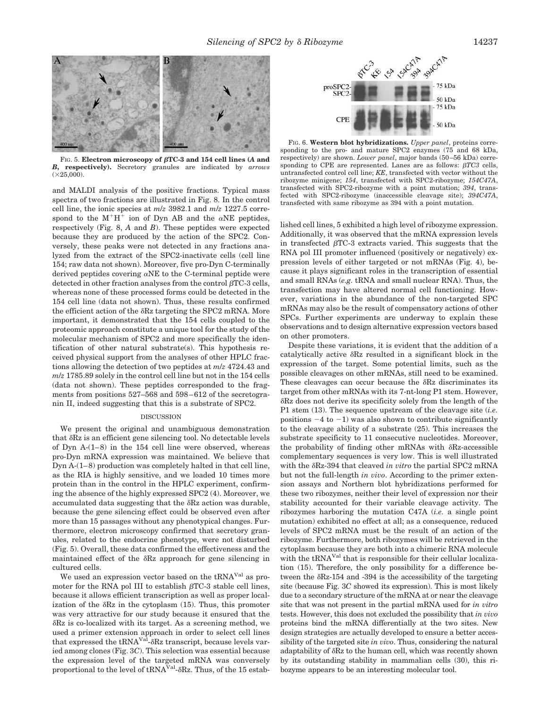

FIG. 5. Electron microscopy of  $\beta$ TC-3 and 154 cell lines (A and *B***, respectively).** Secretory granules are indicated by *arrows*  $(\times 25,000)$ .

and MALDI analysis of the positive fractions. Typical mass spectra of two fractions are illustrated in Fig. 8. In the control cell line, the ionic species at *m*/*z* 3982.1 and *m*/*z* 1227.5 correspond to the  $M^+H^+$  ion of Dyn AB and the  $\alpha NE$  peptides, respectively (Fig. 8, *A* and *B*). These peptides were expected because they are produced by the action of the SPC2. Conversely, these peaks were not detected in any fractions analyzed from the extract of the SPC2-inactivate cells (cell line 154; raw data not shown). Moreover, five pro-Dyn C-terminally derived peptides covering  $\alpha$ NE to the C-terminal peptide were detected in other fraction analyses from the control  $\beta$ TC-3 cells, whereas none of these processed forms could be detected in the 154 cell line (data not shown). Thus, these results confirmed the efficient action of the  $\delta$ Rz targeting the SPC2 mRNA. More important, it demonstrated that the 154 cells coupled to the proteomic approach constitute a unique tool for the study of the molecular mechanism of SPC2 and more specifically the identification of other natural substrate(s). This hypothesis received physical support from the analyses of other HPLC fractions allowing the detection of two peptides at *m*/*z* 4724.43 and *m*/*z* 1785.89 solely in the control cell line but not in the 154 cells (data not shown). These peptides corresponded to the fragments from positions 527–568 and 598–612 of the secretogranin II, indeed suggesting that this is a substrate of SPC2.

## **DISCUSSION**

We present the original and unambiguous demonstration that  $\delta$ Rz is an efficient gene silencing tool. No detectable levels of Dyn A-(1–8) in the 154 cell line were observed, whereas pro-Dyn mRNA expression was maintained. We believe that Dyn A-(1–8) production was completely halted in that cell line, as the RIA is highly sensitive, and we loaded 10 times more protein than in the control in the HPLC experiment, confirming the absence of the highly expressed SPC2 (4). Moreover, we accumulated data suggesting that the  $\delta$ Rz action was durable, because the gene silencing effect could be observed even after more than 15 passages without any phenotypical changes. Furthermore, electron microscopy confirmed that secretory granules, related to the endocrine phenotype, were not disturbed (Fig. 5). Overall, these data confirmed the effectiveness and the maintained effect of the  $\delta$ Rz approach for gene silencing in cultured cells.

We used an expression vector based on the tRNA<sup>Val</sup> as promoter for the RNA pol III to establish  $\beta$ TC-3 stable cell lines, because it allows efficient transcription as well as proper localization of the  $\delta$ Rz in the cytoplasm  $(15)$ . Thus, this promoter was very attractive for our study because it ensured that the  $\delta$ Rz is co-localized with its target. As a screening method, we used a primer extension approach in order to select cell lines that expressed the tRNA<sup>Val</sup>- $\delta$ Rz transcript, because levels varied among clones (Fig. 3*C*). This selection was essential because the expression level of the targeted mRNA was conversely proportional to the level of  $tRNA<sup>Val</sup>$ - $\delta$ Rz. Thus, of the 15 estab-



FIG. 6. **Western blot hybridizations.** *Upper panel*, proteins corresponding to the pro- and mature SPC2 enzymes (75 and 68 kDa, respectively) are shown. *Lower panel*, major bands (50–56 kDa) corresponding to CPE are represented. Lanes are as follows:  $\beta TC3$  cells, untransfected control cell line; *KE*, transfected with vector without the ribozyme minigene; *154*, transfected with SPC2-ribozyme; *154C47A*, transfected with SPC2-ribozyme with a point mutation; *394*, transfected with SPC2-ribozyme (inaccessible cleavage site); *394C47A*, transfected with same ribozyme as 394 with a point mutation.

lished cell lines, 5 exhibited a high level of ribozyme expression. Additionally, it was observed that the mRNA expression levels in transfected  $\beta$ TC-3 extracts varied. This suggests that the RNA pol III promoter influenced (positively or negatively) expression levels of either targeted or not mRNAs (Fig. 4), because it plays significant roles in the transcription of essential and small RNAs (*e.g.* tRNA and small nuclear RNA). Thus, the transfection may have altered normal cell functioning. However, variations in the abundance of the non-targeted SPC mRNAs may also be the result of compensatory actions of other SPCs. Further experiments are underway to explain these observations and to design alternative expression vectors based on other promoters.

Despite these variations, it is evident that the addition of a catalytically active  $\delta$ Rz resulted in a significant block in the expression of the target. Some potential limits, such as the possible cleavages on other mRNAs, still need to be examined. These cleavages can occur because the  $\delta$ Rz discriminates its target from other mRNAs with its 7-nt-long P1 stem. However, -Rz does not derive its specificity solely from the length of the P1 stem (13). The sequence upstream of the cleavage site (*i.e.* positions  $-4$  to  $-1$ ) was also shown to contribute significantly to the cleavage ability of a substrate (25). This increases the substrate specificity to 11 consecutive nucleotides. Moreover, the probability of finding other mRNAs with  $\delta$ Rz-accessible complementary sequences is very low. This is well illustrated with the  $\delta$ Rz-394 that cleaved *in vitro* the partial SPC2 mRNA but not the full-length *in vivo*. According to the primer extension assays and Northern blot hybridizations performed for these two ribozymes, neither their level of expression nor their stability accounted for their variable cleavage activity. The ribozymes harboring the mutation C47A (*i.e.* a single point mutation) exhibited no effect at all; as a consequence, reduced levels of SPC2 mRNA must be the result of an action of the ribozyme. Furthermore, both ribozymes will be retrieved in the cytoplasm because they are both into a chimeric RNA molecule with the tRNA<sup>Val</sup> that is responsible for their cellular localization (15). Therefore, the only possibility for a difference between the  $\delta$ Rz-154 and -394 is the accessibility of the targeting site (because Fig. 3*C* showed its expression). This is most likely due to a secondary structure of the mRNA at or near the cleavage site that was not present in the partial mRNA used for *in vitro* tests. However, this does not excluded the possibility that *in vivo* proteins bind the mRNA differentially at the two sites. New design strategies are actually developed to ensure a better accessibility of the targeted site *in vivo*. Thus, considering the natural adaptability of  $\delta$ Rz to the human cell, which was recently shown by its outstanding stability in mammalian cells (30), this ribozyme appears to be an interesting molecular tool.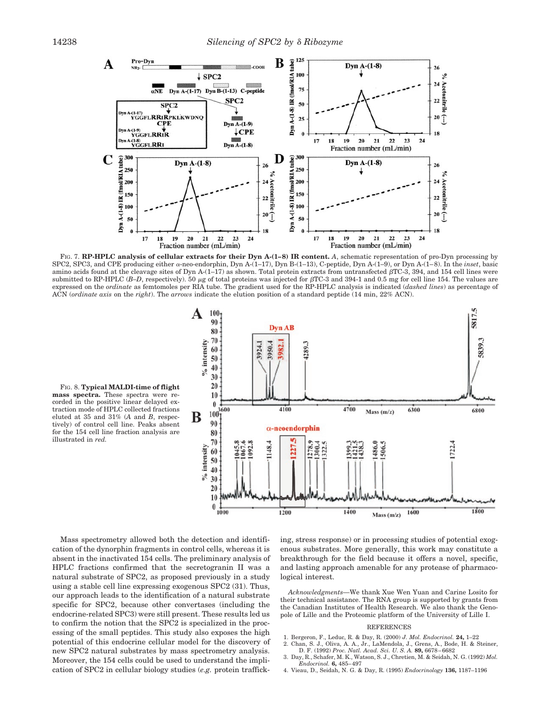

FIG. 7. **RP-HPLC analysis of cellular extracts for their Dyn A-(1–8) IR content.** *A*, schematic representation of pro-Dyn processing by SPC2, SPC3, and CPE producing either  $\alpha$ -neo-endorphin, Dyn A-(1-17), Dyn B-(1-13), C-peptide, Dyn A-(1-9), or Dyn A-(1-8). In the *inset*, basic amino acids found at the cleavage sites of Dyn A-(1–17) as shown. Total protein extracts from untransfected  $\beta$ TC-3, 394, and 154 cell lines were submitted to RP-HPLC ( $B$ –D, respectively). 50  $\mu$ g of total proteins was injected for  $\beta$ TC-3 and 394-1 and 0.5 mg for cell line 154. The values are expressed on the *ordinate* as femtomoles per RIA tube. The gradient used for the RP-HPLC analysis is indicated (*dashed lines*) as percentage of ACN (*ordinate axis* on the *right*). The *arrows* indicate the elution position of a standard peptide (14 min, 22% ACN).

FIG. 8. **Typical MALDI-time of flight mass spectra.** These spectra were recorded in the positive linear delayed extraction mode of HPLC collected fractions eluted at 35 and 31% (*A* and *B*, respectively) of control cell line. Peaks absent for the 154 cell line fraction analysis are illustrated in *red.*



Mass spectrometry allowed both the detection and identification of the dynorphin fragments in control cells, whereas it is absent in the inactivated 154 cells. The preliminary analysis of HPLC fractions confirmed that the secretogranin II was a natural substrate of SPC2, as proposed previously in a study using a stable cell line expressing exogenous SPC2 (31). Thus, our approach leads to the identification of a natural substrate specific for SPC2, because other convertases (including the endocrine-related SPC3) were still present. These results led us to confirm the notion that the SPC2 is specialized in the processing of the small peptides. This study also exposes the high potential of this endocrine cellular model for the discovery of new SPC2 natural substrates by mass spectrometry analysis. Moreover, the 154 cells could be used to understand the implication of SPC2 in cellular biology studies (*e.g.* protein trafficking, stress response) or in processing studies of potential exogenous substrates. More generally, this work may constitute a breakthrough for the field because it offers a novel, specific, and lasting approach amenable for any protease of pharmacological interest.

*Acknowledgments—*We thank Xue Wen Yuan and Carine Losito for their technical assistance. The RNA group is supported by grants from the Canadian Institutes of Health Research. We also thank the Genopole of Lille and the Proteomic platform of the University of Lille I.

## REFERENCES

- 1. Bergeron, F., Leduc, R. & Day, R. (2000) *J. Mol. Endocrinol.* **24,** 1–22
- 2. Chan, S. J., Oliva, A. A., Jr., LaMendola, J., Grens, A., Bode, H. & Steiner, D. F. (1992) *Proc. Natl. Acad. Sci. U. S. A.* **89,** 6678–6682
- 3. Day, R., Schafer, M. K., Watson, S. J., Chretien, M. & Seidah, N. G. (1992) *Mol. Endocrinol.* **6,** 485–497
- 4. Vieau, D., Seidah, N. G. & Day, R. (1995) *Endocrinology* **136,** 1187–1196